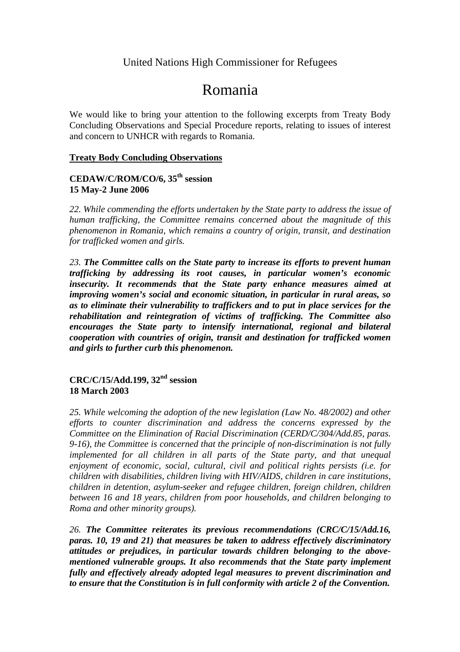# United Nations High Commissioner for Refugees

# Romania

We would like to bring your attention to the following excerpts from Treaty Body Concluding Observations and Special Procedure reports, relating to issues of interest and concern to UNHCR with regards to Romania.

#### **Treaty Body Concluding Observations**

## **CEDAW/C/ROM/CO/6, 35th session 15 May-2 June 2006**

*22. While commending the efforts undertaken by the State party to address the issue of human trafficking, the Committee remains concerned about the magnitude of this phenomenon in Romania, which remains a country of origin, transit, and destination for trafficked women and girls.* 

*23. The Committee calls on the State party to increase its efforts to prevent human trafficking by addressing its root causes, in particular women's economic insecurity. It recommends that the State party enhance measures aimed at improving women's social and economic situation, in particular in rural areas, so as to eliminate their vulnerability to traffickers and to put in place services for the rehabilitation and reintegration of victims of trafficking. The Committee also encourages the State party to intensify international, regional and bilateral cooperation with countries of origin, transit and destination for trafficked women and girls to further curb this phenomenon.* 

### **CRC/C/15/Add.199, 32nd session 18 March 2003**

*25. While welcoming the adoption of the new legislation (Law No. 48/2002) and other efforts to counter discrimination and address the concerns expressed by the Committee on the Elimination of Racial Discrimination (CERD/C/304/Add.85, paras. 9-16), the Committee is concerned that the principle of non-discrimination is not fully implemented for all children in all parts of the State party, and that unequal enjoyment of economic, social, cultural, civil and political rights persists (i.e. for children with disabilities, children living with HIV/AIDS, children in care institutions, children in detention, asylum-seeker and refugee children, foreign children, children between 16 and 18 years, children from poor households, and children belonging to Roma and other minority groups).* 

*26. The Committee reiterates its previous recommendations (CRC/C/15/Add.16, paras. 10, 19 and 21) that measures be taken to address effectively discriminatory attitudes or prejudices, in particular towards children belonging to the abovementioned vulnerable groups. It also recommends that the State party implement fully and effectively already adopted legal measures to prevent discrimination and to ensure that the Constitution is in full conformity with article 2 of the Convention.*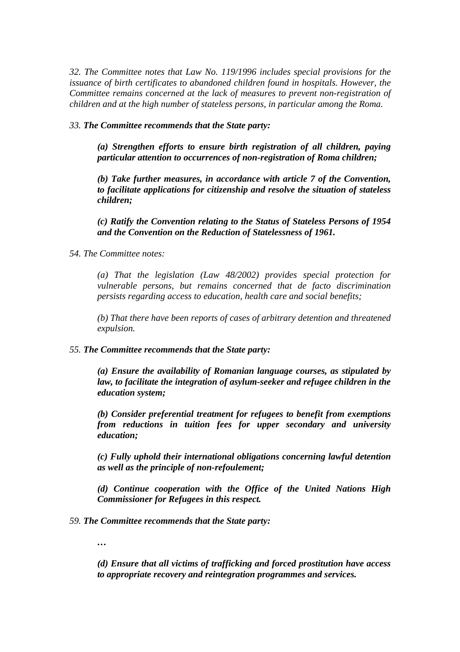*32. The Committee notes that Law No. 119/1996 includes special provisions for the issuance of birth certificates to abandoned children found in hospitals. However, the Committee remains concerned at the lack of measures to prevent non-registration of children and at the high number of stateless persons, in particular among the Roma.* 

#### *33. The Committee recommends that the State party:*

*(a) Strengthen efforts to ensure birth registration of all children, paying particular attention to occurrences of non-registration of Roma children;* 

*(b) Take further measures, in accordance with article 7 of the Convention, to facilitate applications for citizenship and resolve the situation of stateless children;* 

*(c) Ratify the Convention relating to the Status of Stateless Persons of 1954 and the Convention on the Reduction of Statelessness of 1961.* 

#### *54. The Committee notes:*

*(a) That the legislation (Law 48/2002) provides special protection for vulnerable persons, but remains concerned that de facto discrimination persists regarding access to education, health care and social benefits;* 

*(b) That there have been reports of cases of arbitrary detention and threatened expulsion.* 

#### *55. The Committee recommends that the State party:*

*(a) Ensure the availability of Romanian language courses, as stipulated by law, to facilitate the integration of asylum-seeker and refugee children in the education system;* 

*(b) Consider preferential treatment for refugees to benefit from exemptions from reductions in tuition fees for upper secondary and university education;* 

*(c) Fully uphold their international obligations concerning lawful detention as well as the principle of non-refoulement;* 

*(d) Continue cooperation with the Office of the United Nations High Commissioner for Refugees in this respect.* 

*59. The Committee recommends that the State party:* 

*…* 

*(d) Ensure that all victims of trafficking and forced prostitution have access to appropriate recovery and reintegration programmes and services.*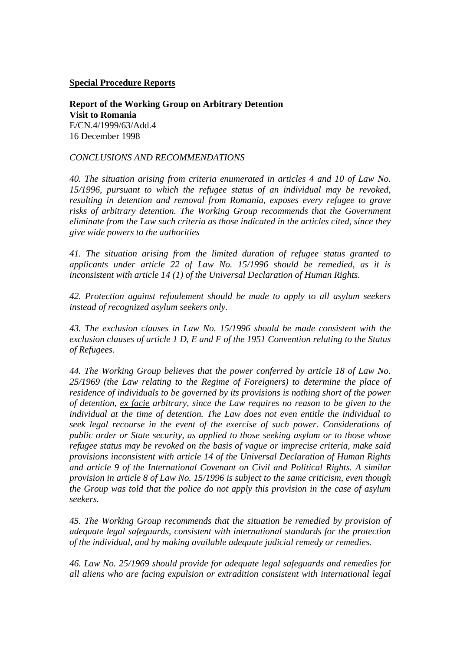**Special Procedure Reports**

**Report of the Working Group on Arbitrary Detention Visit to Romania**  E/CN.4/1999/63/Add.4 16 December 1998

#### *CONCLUSIONS AND RECOMMENDATIONS*

*40. The situation arising from criteria enumerated in articles 4 and 10 of Law No. 15/1996, pursuant to which the refugee status of an individual may be revoked, resulting in detention and removal from Romania, exposes every refugee to grave risks of arbitrary detention. The Working Group recommends that the Government eliminate from the Law such criteria as those indicated in the articles cited, since they give wide powers to the authorities*

*41. The situation arising from the limited duration of refugee status granted to applicants under article 22 of Law No. 15/1996 should be remedied, as it is inconsistent with article 14 (1) of the Universal Declaration of Human Rights.* 

*42. Protection against refoulement should be made to apply to all asylum seekers instead of recognized asylum seekers only.* 

*43. The exclusion clauses in Law No. 15/1996 should be made consistent with the exclusion clauses of article 1 D, E and F of the 1951 Convention relating to the Status of Refugees.* 

*44. The Working Group believes that the power conferred by article 18 of Law No. 25/1969 (the Law relating to the Regime of Foreigners) to determine the place of residence of individuals to be governed by its provisions is nothing short of the power of detention, ex facie arbitrary, since the Law requires no reason to be given to the individual at the time of detention. The Law does not even entitle the individual to seek legal recourse in the event of the exercise of such power. Considerations of public order or State security, as applied to those seeking asylum or to those whose refugee status may be revoked on the basis of vague or imprecise criteria, make said provisions inconsistent with article 14 of the Universal Declaration of Human Rights and article 9 of the International Covenant on Civil and Political Rights. A similar provision in article 8 of Law No. 15/1996 is subject to the same criticism, even though the Group was told that the police do not apply this provision in the case of asylum seekers.* 

*45. The Working Group recommends that the situation be remedied by provision of adequate legal safeguards, consistent with international standards for the protection of the individual, and by making available adequate judicial remedy or remedies.* 

*46. Law No. 25/1969 should provide for adequate legal safeguards and remedies for all aliens who are facing expulsion or extradition consistent with international legal*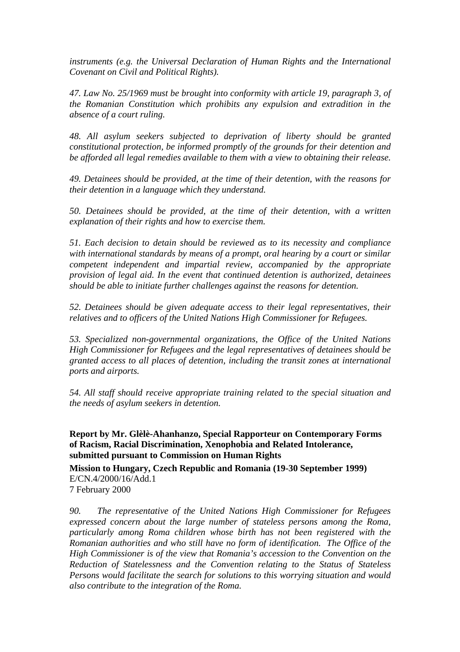*instruments (e.g. the Universal Declaration of Human Rights and the International Covenant on Civil and Political Rights).* 

*47. Law No. 25/1969 must be brought into conformity with article 19, paragraph 3, of the Romanian Constitution which prohibits any expulsion and extradition in the absence of a court ruling.* 

*48. All asylum seekers subjected to deprivation of liberty should be granted constitutional protection, be informed promptly of the grounds for their detention and be afforded all legal remedies available to them with a view to obtaining their release.* 

*49. Detainees should be provided, at the time of their detention, with the reasons for their detention in a language which they understand.* 

*50. Detainees should be provided, at the time of their detention, with a written explanation of their rights and how to exercise them.* 

*51. Each decision to detain should be reviewed as to its necessity and compliance with international standards by means of a prompt, oral hearing by a court or similar competent independent and impartial review, accompanied by the appropriate provision of legal aid. In the event that continued detention is authorized, detainees should be able to initiate further challenges against the reasons for detention.* 

*52. Detainees should be given adequate access to their legal representatives, their relatives and to officers of the United Nations High Commissioner for Refugees.* 

*53. Specialized non-governmental organizations, the Office of the United Nations High Commissioner for Refugees and the legal representatives of detainees should be granted access to all places of detention, including the transit zones at international ports and airports.* 

*54. All staff should receive appropriate training related to the special situation and the needs of asylum seekers in detention.*

**Report by Mr. Glèlè-Ahanhanzo, Special Rapporteur on Contemporary Forms of Racism, Racial Discrimination, Xenophobia and Related Intolerance, submitted pursuant to Commission on Human Rights** 

**Mission to Hungary, Czech Republic and Romania (19-30 September 1999)**  E/CN.4/2000/16/Add.1 7 February 2000

*90. The representative of the United Nations High Commissioner for Refugees expressed concern about the large number of stateless persons among the Roma, particularly among Roma children whose birth has not been registered with the Romanian authorities and who still have no form of identification. The Office of the High Commissioner is of the view that Romania's accession to the Convention on the Reduction of Statelessness and the Convention relating to the Status of Stateless Persons would facilitate the search for solutions to this worrying situation and would also contribute to the integration of the Roma.*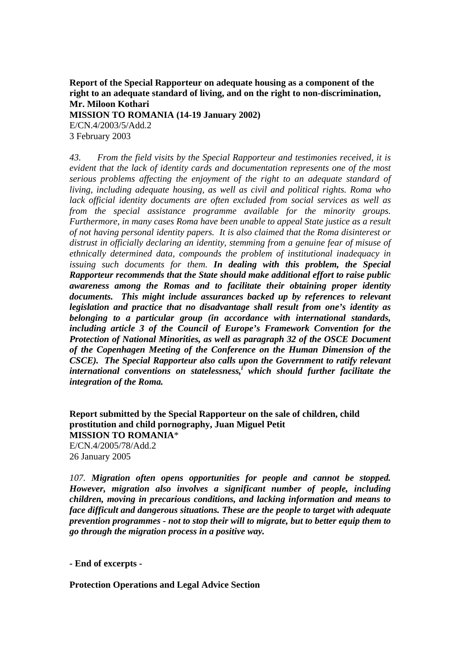**Report of the Special Rapporteur on adequate housing as a component of the right to an adequate standard of living, and on the right to non-discrimination, Mr. Miloon Kothari** 

**MISSION TO ROMANIA (14-19 January 2002)** 

E/CN.4/2003/5/Add.2 3 February 2003

*43. From the field visits by the Special Rapporteur and testimonies received, it is evident that the lack of identity cards and documentation represents one of the most serious problems affecting the enjoyment of the right to an adequate standard of living, including adequate housing, as well as civil and political rights. Roma who lack official identity documents are often excluded from social services as well as from the special assistance programme available for the minority groups. Furthermore, in many cases Roma have been unable to appeal State justice as a result of not having personal identity papers. It is also claimed that the Roma disinterest or distrust in officially declaring an identity, stemming from a genuine fear of misuse of ethnically determined data, compounds the problem of institutional inadequacy in issuing such documents for them. In dealing with this problem, the Special Rapporteur recommends that the State should make additional effort to raise public awareness among the Romas and to facilitate their obtaining proper identity documents. This might include assurances backed up by references to relevant legislation and practice that no disadvantage shall result from one's identity as belonging to a particular group (in accordance with international standards, including article 3 of the Council of Europe's Framework Convention for the Protection of National Minorities, as well as paragraph 32 of the OSCE Document of the Copenhagen Meeting of the Conference on the Human Dimension of the CSCE). The Special Rapporteur also calls upon the Government to ratify relevant*  international conventions on statelessness,<sup>i</sup> which should further facilitate the *integration of the Roma.* 

**Report submitted by the Special Rapporteur on the sale of children, child prostitution and child pornography, Juan Miguel Petit MISSION TO ROMANIA**\* E/CN.4/2005/78/Add.2 26 January 2005

*107. Migration often opens opportunities for people and cannot be stopped. However, migration also involves a significant number of people, including children, moving in precarious conditions, and lacking information and means to face difficult and dangerous situations. These are the people to target with adequate prevention programmes - not to stop their will to migrate, but to better equip them to go through the migration process in a positive way.* 

**- End of excerpts -** 

**Protection Operations and Legal Advice Section**